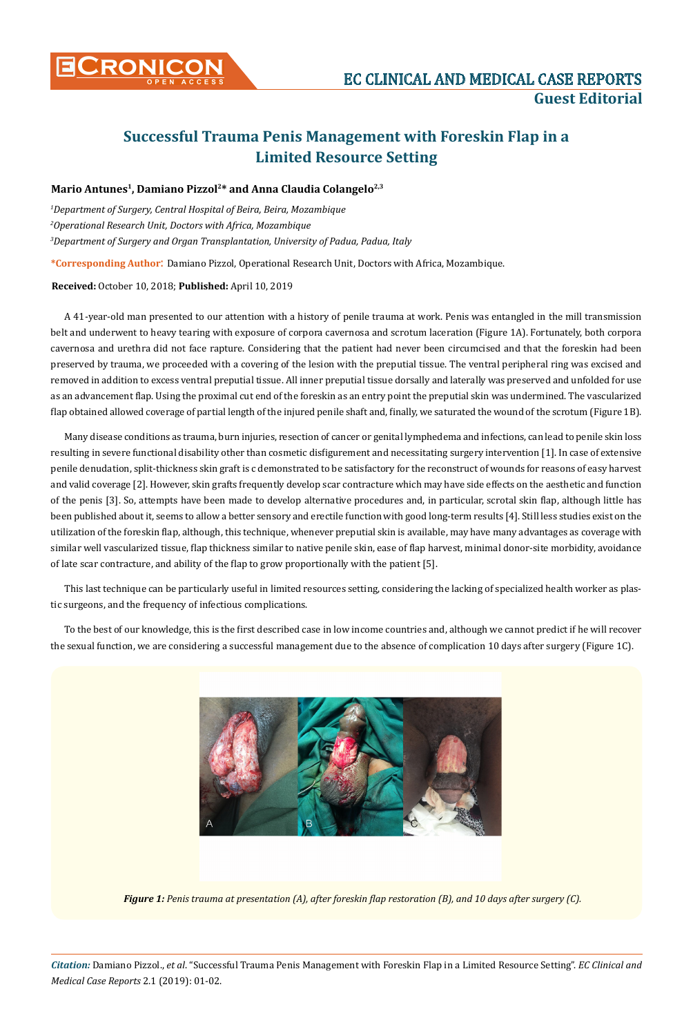

# **Successful Trauma Penis Management with Foreskin Flap in a Limited Resource Setting**

# Mario Antunes<sup>1</sup>, Damiano Pizzol<sup>2\*</sup> and Anna Claudia Colangelo<sup>2,3</sup>

*1 Department of Surgery, Central Hospital of Beira, Beira, Mozambique 2 Operational Research Unit, Doctors with Africa, Mozambique 3 Department of Surgery and Organ Transplantation, University of Padua, Padua, Italy*

**\*Corresponding Author**: Damiano Pizzol, Operational Research Unit, Doctors with Africa, Mozambique.

#### **Received:** October 10, 2018; **Published:** April 10, 2019

A 41-year-old man presented to our attention with a history of penile trauma at work. Penis was entangled in the mill transmission belt and underwent to heavy tearing with exposure of corpora cavernosa and scrotum laceration (Figure 1A). Fortunately, both corpora cavernosa and urethra did not face rapture. Considering that the patient had never been circumcised and that the foreskin had been preserved by trauma, we proceeded with a covering of the lesion with the preputial tissue. The ventral peripheral ring was excised and removed in addition to excess ventral preputial tissue. All inner preputial tissue dorsally and laterally was preserved and unfolded for use as an advancement flap. Using the proximal cut end of the foreskin as an entry point the preputial skin was undermined. The vascularized flap obtained allowed coverage of partial length of the injured penile shaft and, finally, we saturated the wound of the scrotum (Figure 1B).

Many disease conditions as trauma, burn injuries, resection of cancer or genital lymphedema and infections, can lead to penile skin loss resulting in severe functional disability other than cosmetic disfigurement and necessitating surgery intervention [1]. In case of extensive penile denudation, split-thickness skin graft is c demonstrated to be satisfactory for the reconstruct of wounds for reasons of easy harvest and valid coverage [2]. However, skin grafts frequently develop scar contracture which may have side effects on the aesthetic and function of the penis [3]. So, attempts have been made to develop alternative procedures and, in particular, scrotal skin flap, although little has been published about it, seems to allow a better sensory and erectile function with good long-term results [4]. Still less studies exist on the utilization of the foreskin flap, although, this technique, whenever preputial skin is available, may have many advantages as coverage with similar well vascularized tissue, flap thickness similar to native penile skin, ease of flap harvest, minimal donor-site morbidity, avoidance of late scar contracture, and ability of the flap to grow proportionally with the patient [5].

This last technique can be particularly useful in limited resources setting, considering the lacking of specialized health worker as plastic surgeons, and the frequency of infectious complications.

To the best of our knowledge, this is the first described case in low income countries and, although we cannot predict if he will recover the sexual function, we are considering a successful management due to the absence of complication 10 days after surgery (Figure 1C).



*Figure 1: Penis trauma at presentation (A), after foreskin flap restoration (B), and 10 days after surgery (C).*

*Citation:* Damiano Pizzol., *et al*. "Successful Trauma Penis Management with Foreskin Flap in a Limited Resource Setting". *EC Clinical and Medical Case Reports* 2.1 (2019): 01-02.